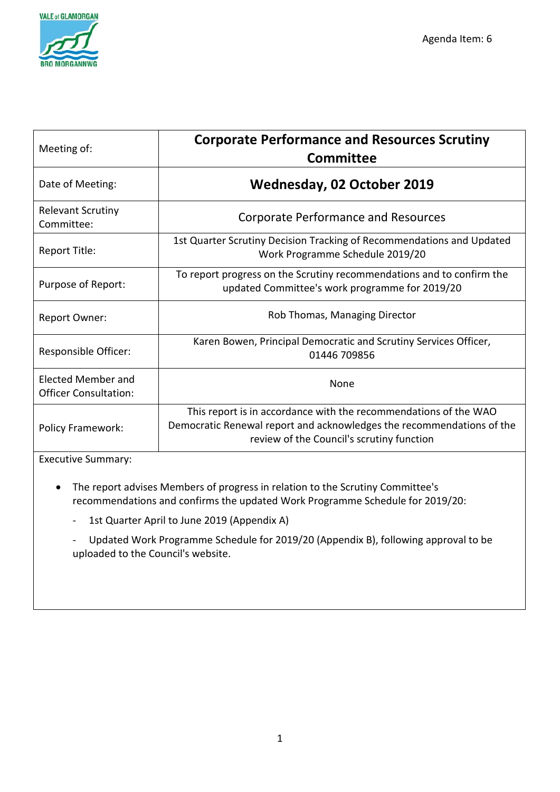

| Meeting of:                                               | <b>Corporate Performance and Resources Scrutiny</b><br><b>Committee</b>                                                                                                                |
|-----------------------------------------------------------|----------------------------------------------------------------------------------------------------------------------------------------------------------------------------------------|
| Date of Meeting:                                          | <b>Wednesday, 02 October 2019</b>                                                                                                                                                      |
| <b>Relevant Scrutiny</b><br>Committee:                    | <b>Corporate Performance and Resources</b>                                                                                                                                             |
| Report Title:                                             | 1st Quarter Scrutiny Decision Tracking of Recommendations and Updated<br>Work Programme Schedule 2019/20                                                                               |
| Purpose of Report:                                        | To report progress on the Scrutiny recommendations and to confirm the<br>updated Committee's work programme for 2019/20                                                                |
| <b>Report Owner:</b>                                      | Rob Thomas, Managing Director                                                                                                                                                          |
| Responsible Officer:                                      | Karen Bowen, Principal Democratic and Scrutiny Services Officer,<br>01446 709856                                                                                                       |
| <b>Elected Member and</b><br><b>Officer Consultation:</b> | <b>None</b>                                                                                                                                                                            |
| <b>Policy Framework:</b>                                  | This report is in accordance with the recommendations of the WAO<br>Democratic Renewal report and acknowledges the recommendations of the<br>review of the Council's scrutiny function |
| <b>Executive Summary:</b>                                 |                                                                                                                                                                                        |

- The report advises Members of progress in relation to the Scrutiny Committee's recommendations and confirms the updated Work Programme Schedule for 2019/20:
	- 1st Quarter April to June 2019 (Appendix A)
	- Updated Work Programme Schedule for 2019/20 (Appendix B), following approval to be uploaded to the Council's website.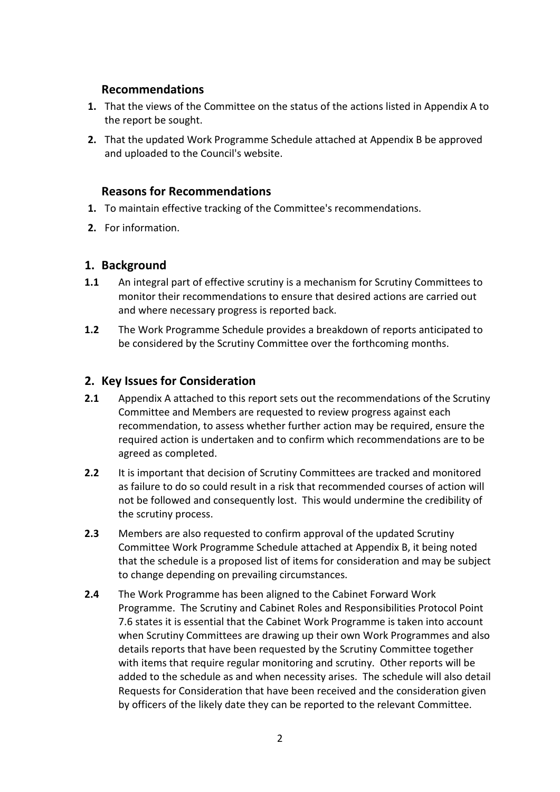#### **Recommendations**

- **1.** That the views of the Committee on the status of the actions listed in Appendix A to the report be sought.
- **2.** That the updated Work Programme Schedule attached at Appendix B be approved and uploaded to the Council's website.

#### **Reasons for Recommendations**

- **1.** To maintain effective tracking of the Committee's recommendations.
- **2.** For information.

#### **1. Background**

- **1.1** An integral part of effective scrutiny is a mechanism for Scrutiny Committees to monitor their recommendations to ensure that desired actions are carried out and where necessary progress is reported back.
- **1.2** The Work Programme Schedule provides a breakdown of reports anticipated to be considered by the Scrutiny Committee over the forthcoming months.

#### **2. Key Issues for Consideration**

- **2.1** Appendix A attached to this report sets out the recommendations of the Scrutiny Committee and Members are requested to review progress against each recommendation, to assess whether further action may be required, ensure the required action is undertaken and to confirm which recommendations are to be agreed as completed.
- **2.2** It is important that decision of Scrutiny Committees are tracked and monitored as failure to do so could result in a risk that recommended courses of action will not be followed and consequently lost. This would undermine the credibility of the scrutiny process.
- **2.3** Members are also requested to confirm approval of the updated Scrutiny Committee Work Programme Schedule attached at Appendix B, it being noted that the schedule is a proposed list of items for consideration and may be subject to change depending on prevailing circumstances.
- **2.4** The Work Programme has been aligned to the Cabinet Forward Work Programme. The Scrutiny and Cabinet Roles and Responsibilities Protocol Point 7.6 states it is essential that the Cabinet Work Programme is taken into account when Scrutiny Committees are drawing up their own Work Programmes and also details reports that have been requested by the Scrutiny Committee together with items that require regular monitoring and scrutiny. Other reports will be added to the schedule as and when necessity arises. The schedule will also detail Requests for Consideration that have been received and the consideration given by officers of the likely date they can be reported to the relevant Committee.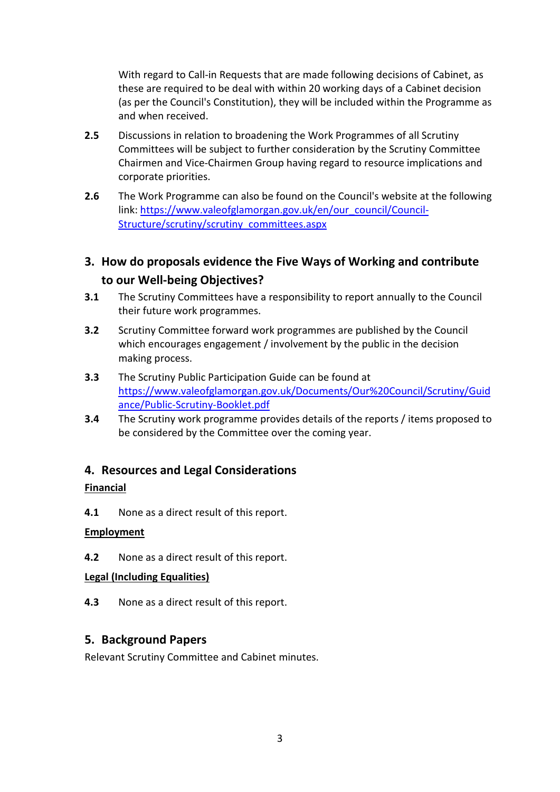With regard to Call-in Requests that are made following decisions of Cabinet, as these are required to be deal with within 20 working days of a Cabinet decision (as per the Council's Constitution), they will be included within the Programme as and when received.

- **2.5** Discussions in relation to broadening the Work Programmes of all Scrutiny Committees will be subject to further consideration by the Scrutiny Committee Chairmen and Vice-Chairmen Group having regard to resource implications and corporate priorities.
- **2.6** The Work Programme can also be found on the Council's website at the following link: [https://www.valeofglamorgan.gov.uk/en/our\\_council/Council-](https://www.valeofglamorgan.gov.uk/en/our_council/Council-Structure/scrutiny/scrutiny_committees.aspx)[Structure/scrutiny/scrutiny\\_committees.aspx](https://www.valeofglamorgan.gov.uk/en/our_council/Council-Structure/scrutiny/scrutiny_committees.aspx)

## **3. How do proposals evidence the Five Ways of Working and contribute to our Well-being Objectives?**

- **3.1** The Scrutiny Committees have a responsibility to report annually to the Council their future work programmes.
- **3.2** Scrutiny Committee forward work programmes are published by the Council which encourages engagement / involvement by the public in the decision making process.
- **3.3** The Scrutiny Public Participation Guide can be found at [https://www.valeofglamorgan.gov.uk/Documents/Our%20Council/Scrutiny/Guid](https://www.valeofglamorgan.gov.uk/Documents/Our%20Council/Scrutiny/Guidance/Public-Scrutiny-Booklet.pdf) [ance/Public-Scrutiny-Booklet.pdf](https://www.valeofglamorgan.gov.uk/Documents/Our%20Council/Scrutiny/Guidance/Public-Scrutiny-Booklet.pdf)
- **3.4** The Scrutiny work programme provides details of the reports / items proposed to be considered by the Committee over the coming year.

#### **4. Resources and Legal Considerations**

#### **Financial**

**4.1** None as a direct result of this report.

#### **Employment**

**4.2** None as a direct result of this report.

#### **Legal (Including Equalities)**

**4.3** None as a direct result of this report.

#### **5. Background Papers**

Relevant Scrutiny Committee and Cabinet minutes.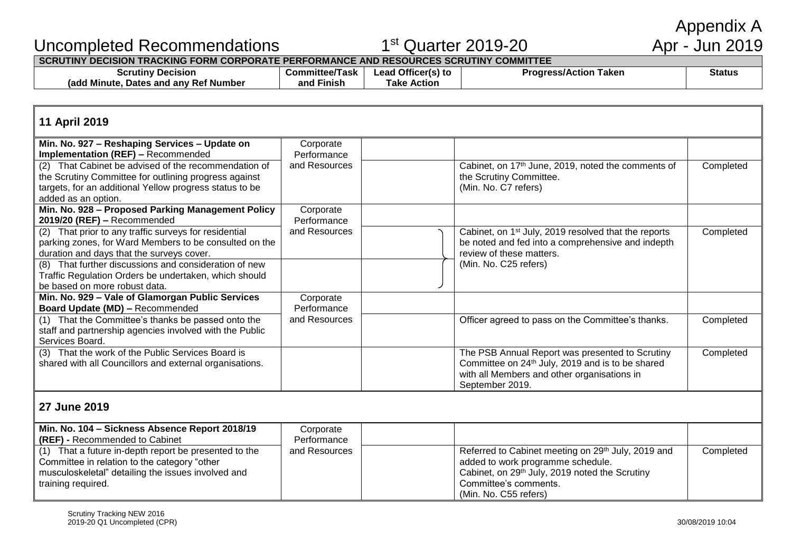Appendix A<br>Apr - Jun 2019

## Uncompleted Recommendations 1st Quarter 2019-20 Apr - Jun 2019

**SCRUTINY DECISION TRACKING FORM CORPORATE PERFORMANCE AND RESOURCES SCRUTINY COMMITTEE**

| Decision<br><b>Scrutin</b>                                          | :ommittee/<br>Паsк. | Officer(s) to<br>ead<br>ιυ | Taken<br>--<br>. Action<br>1 U.U | <b>Status</b> |
|---------------------------------------------------------------------|---------------------|----------------------------|----------------------------------|---------------|
| ، Number<br>Ref<br>⊩Mınute<br>∶anv<br><b>Dates</b><br>radd<br>. and | .<br>Finish<br>and  | Actior<br>⊺ako             |                                  |               |

#### **11 April 2019**

| Corporate     |                                                                  |           |
|---------------|------------------------------------------------------------------|-----------|
| Performance   |                                                                  |           |
| and Resources | Cabinet, on 17 <sup>th</sup> June, 2019, noted the comments of   | Completed |
|               | the Scrutiny Committee.                                          |           |
|               | (Min. No. C7 refers)                                             |           |
|               |                                                                  |           |
| Corporate     |                                                                  |           |
| Performance   |                                                                  |           |
| and Resources | Cabinet, on 1 <sup>st</sup> July, 2019 resolved that the reports | Completed |
|               | be noted and fed into a comprehensive and indepth                |           |
|               | review of these matters.                                         |           |
|               | (Min. No. C25 refers)                                            |           |
|               |                                                                  |           |
|               |                                                                  |           |
| Corporate     |                                                                  |           |
| Performance   |                                                                  |           |
| and Resources | Officer agreed to pass on the Committee's thanks.                | Completed |
|               |                                                                  |           |
|               |                                                                  |           |
|               | The PSB Annual Report was presented to Scrutiny                  | Completed |
|               | Committee on 24 <sup>th</sup> July, 2019 and is to be shared     |           |
|               | with all Members and other organisations in                      |           |
|               | September 2019.                                                  |           |
|               |                                                                  |           |

#### **27 June 2019**

| Min. No. 104 – Sickness Absence Report 2018/19     | Corporate     |                                                                |           |
|----------------------------------------------------|---------------|----------------------------------------------------------------|-----------|
| <b>(REF)</b> - Recommended to Cabinet              | Performance   |                                                                |           |
| That a future in-depth report be presented to the  | and Resources | Referred to Cabinet meeting on 29 <sup>th</sup> July, 2019 and | Completed |
| Committee in relation to the category "other       |               | added to work programme schedule.                              |           |
| musculoskeletal" detailing the issues involved and |               | Cabinet, on 29 <sup>th</sup> July, 2019 noted the Scrutiny     |           |
| training required.                                 |               | Committee's comments.                                          |           |
|                                                    |               | (Min. No. C55 refers)                                          |           |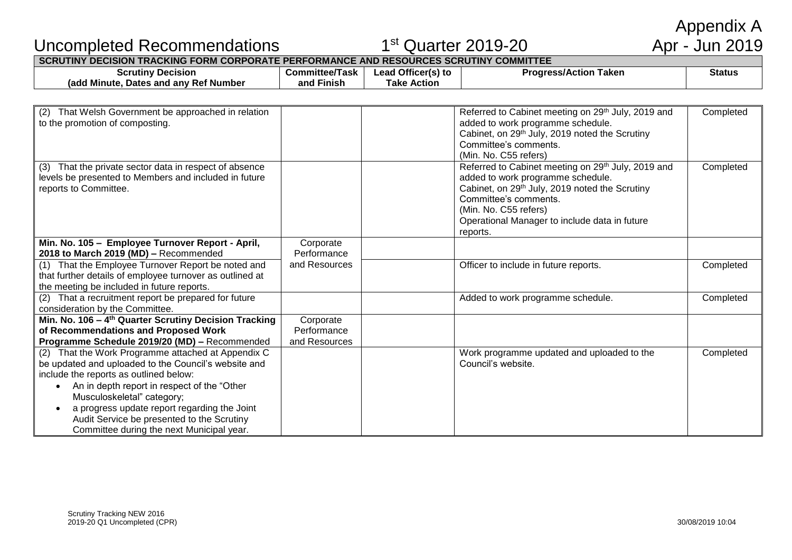Appendix A<br>Apr - Jun 2019

## Uncompleted Recommendations 1

# $1<sup>st</sup>$  Quarter 2019-20

| SCRUTINY DECISION TRACKING FORM CORPORATE PERFORMANCE AND RESOURCES SCRUTINY COMMITTEE . |  |
|------------------------------------------------------------------------------------------|--|
|                                                                                          |  |

| Decision<br>Scrutiny                                                  | Committee/<br>Task | Officer(s) to<br>.ead | Taken<br>Dro.<br>s/Action | Status |
|-----------------------------------------------------------------------|--------------------|-----------------------|---------------------------|--------|
| .<br><sup>,</sup> Ref Number<br>' Minute.<br>anv<br>Dates and<br>(add | .<br>and<br>Finish | rake<br>Action        |                           |        |

| That Welsh Government be approached in relation<br>(2)<br>to the promotion of composting.                                                                                                                                                                                                                                                                                                                  |                                           | Referred to Cabinet meeting on 29th July, 2019 and<br>Completed<br>added to work programme schedule.<br>Cabinet, on 29th July, 2019 noted the Scrutiny<br>Committee's comments.<br>(Min. No. C55 refers)                                                                          |
|------------------------------------------------------------------------------------------------------------------------------------------------------------------------------------------------------------------------------------------------------------------------------------------------------------------------------------------------------------------------------------------------------------|-------------------------------------------|-----------------------------------------------------------------------------------------------------------------------------------------------------------------------------------------------------------------------------------------------------------------------------------|
| That the private sector data in respect of absence<br>(3)<br>levels be presented to Members and included in future<br>reports to Committee.                                                                                                                                                                                                                                                                |                                           | Referred to Cabinet meeting on 29th July, 2019 and<br>Completed<br>added to work programme schedule.<br>Cabinet, on 29 <sup>th</sup> July, 2019 noted the Scrutiny<br>Committee's comments.<br>(Min. No. C55 refers)<br>Operational Manager to include data in future<br>reports. |
| Min. No. 105 - Employee Turnover Report - April,                                                                                                                                                                                                                                                                                                                                                           | Corporate                                 |                                                                                                                                                                                                                                                                                   |
| 2018 to March 2019 (MD) - Recommended                                                                                                                                                                                                                                                                                                                                                                      | Performance<br>and Resources              |                                                                                                                                                                                                                                                                                   |
| (1) That the Employee Turnover Report be noted and<br>that further details of employee turnover as outlined at<br>the meeting be included in future reports.                                                                                                                                                                                                                                               |                                           | Officer to include in future reports.<br>Completed                                                                                                                                                                                                                                |
| That a recruitment report be prepared for future<br>(2)<br>consideration by the Committee.                                                                                                                                                                                                                                                                                                                 |                                           | Added to work programme schedule.<br>Completed                                                                                                                                                                                                                                    |
| Min. No. 106 - 4 <sup>th</sup> Quarter Scrutiny Decision Tracking<br>of Recommendations and Proposed Work<br>Programme Schedule 2019/20 (MD) - Recommended                                                                                                                                                                                                                                                 | Corporate<br>Performance<br>and Resources |                                                                                                                                                                                                                                                                                   |
| That the Work Programme attached at Appendix C<br>(2)<br>be updated and uploaded to the Council's website and<br>include the reports as outlined below:<br>An in depth report in respect of the "Other"<br>$\bullet$<br>Musculoskeletal" category;<br>a progress update report regarding the Joint<br>$\bullet$<br>Audit Service be presented to the Scrutiny<br>Committee during the next Municipal year. |                                           | Work programme updated and uploaded to the<br>Completed<br>Council's website.                                                                                                                                                                                                     |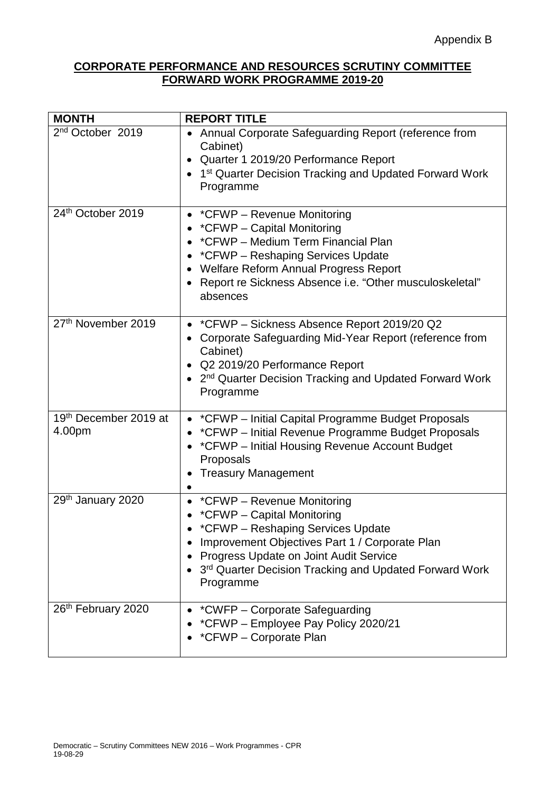### **CORPORATE PERFORMANCE AND RESOURCES SCRUTINY COMMITTEE FORWARD WORK PROGRAMME 2019-20**

| <b>MONTH</b>                    | <b>REPORT TITLE</b>                                                                                                                                                                                                                                                  |
|---------------------------------|----------------------------------------------------------------------------------------------------------------------------------------------------------------------------------------------------------------------------------------------------------------------|
| 2 <sup>nd</sup> October 2019    | Annual Corporate Safeguarding Report (reference from<br>Cabinet)<br>Quarter 1 2019/20 Performance Report<br>1 <sup>st</sup> Quarter Decision Tracking and Updated Forward Work<br>Programme                                                                          |
| 24th October 2019               | • *CFWP - Revenue Monitoring<br>*CFWP - Capital Monitoring<br>*CFWP - Medium Term Financial Plan<br>*CFWP - Reshaping Services Update<br>Welfare Reform Annual Progress Report<br>Report re Sickness Absence i.e. "Other musculoskeletal"<br>absences                |
| 27 <sup>th</sup> November 2019  | *CFWP - Sickness Absence Report 2019/20 Q2<br>Corporate Safeguarding Mid-Year Report (reference from<br>Cabinet)<br>Q2 2019/20 Performance Report<br>2 <sup>nd</sup> Quarter Decision Tracking and Updated Forward Work<br>Programme                                 |
| 19th December 2019 at<br>4.00pm | • *CFWP – Initial Capital Programme Budget Proposals<br>*CFWP – Initial Revenue Programme Budget Proposals<br>*CFWP – Initial Housing Revenue Account Budget<br>Proposals<br><b>Treasury Management</b>                                                              |
| 29th January 2020               | • *CFWP - Revenue Monitoring<br>• *CFWP - Capital Monitoring<br>*CFWP – Reshaping Services Update<br>Improvement Objectives Part 1 / Corporate Plan<br>Progress Update on Joint Audit Service<br>3rd Quarter Decision Tracking and Updated Forward Work<br>Programme |
| 26 <sup>th</sup> February 2020  | • *CWFP - Corporate Safeguarding<br>*CFWP - Employee Pay Policy 2020/21<br>*CFWP - Corporate Plan                                                                                                                                                                    |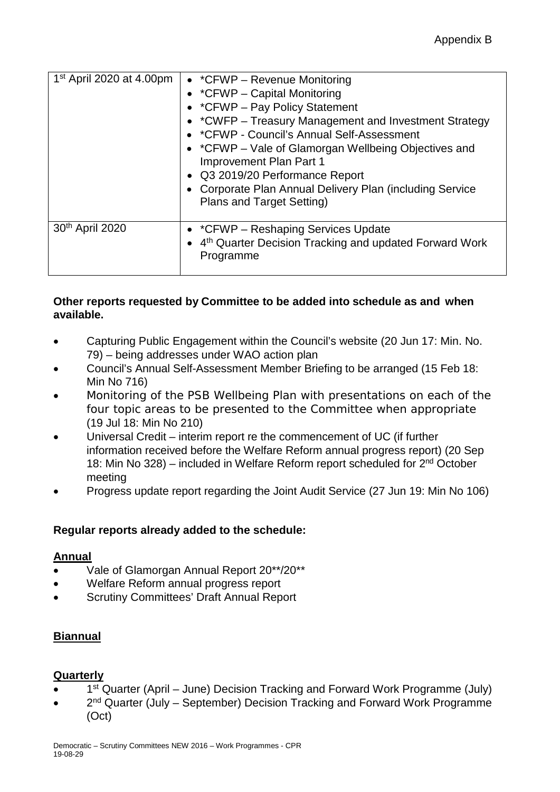| $1st$ April 2020 at 4.00pm | • *CFWP - Revenue Monitoring<br>• $^*$ CFWP – Capital Monitoring<br>• *CFWP - Pay Policy Statement<br>• *CWFP – Treasury Management and Investment Strategy<br>• * CFWP - Council's Annual Self-Assessment<br>• *CFWP – Vale of Glamorgan Wellbeing Objectives and<br><b>Improvement Plan Part 1</b><br>• Q3 2019/20 Performance Report<br>Corporate Plan Annual Delivery Plan (including Service<br>Plans and Target Setting) |
|----------------------------|--------------------------------------------------------------------------------------------------------------------------------------------------------------------------------------------------------------------------------------------------------------------------------------------------------------------------------------------------------------------------------------------------------------------------------|
| 30th April 2020            | • *CFWP – Reshaping Services Update<br>• 4 <sup>th</sup> Quarter Decision Tracking and updated Forward Work<br>Programme                                                                                                                                                                                                                                                                                                       |

#### **Other reports requested by Committee to be added into schedule as and when available.**

- Capturing Public Engagement within the Council's website (20 Jun 17: Min. No. 79) – being addresses under WAO action plan
- Council's Annual Self-Assessment Member Briefing to be arranged (15 Feb 18: Min No 716)
- Monitoring of the PSB Wellbeing Plan with presentations on each of the four topic areas to be presented to the Committee when appropriate (19 Jul 18: Min No 210)
- Universal Credit interim report re the commencement of UC (if further information received before the Welfare Reform annual progress report) (20 Sep 18: Min No 328) – included in Welfare Reform report scheduled for 2nd October meeting
- Progress update report regarding the Joint Audit Service (27 Jun 19: Min No 106)

#### **Regular reports already added to the schedule:**

#### **Annual**

- Vale of Glamorgan Annual Report 20\*\*/20\*\*
- Welfare Reform annual progress report
- Scrutiny Committees' Draft Annual Report

#### **Biannual**

#### **Quarterly**

- 1<sup>st</sup> Quarter (April June) Decision Tracking and Forward Work Programme (July)
- 2<sup>nd</sup> Quarter (July September) Decision Tracking and Forward Work Programme (Oct)